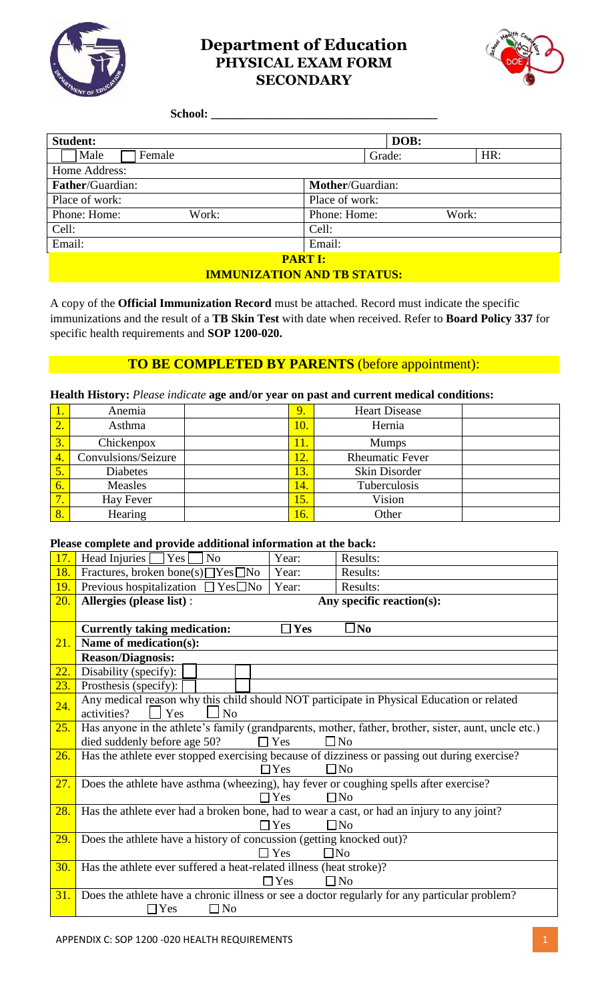

# **Department of Education PHYSICAL EXAM FORM SECONDARY**



#### **School: \_\_\_\_\_\_\_\_\_\_\_\_\_\_\_\_\_\_\_\_\_\_\_\_\_\_\_\_\_\_\_\_\_\_\_\_\_\_**

| <b>Student:</b>         |       |                         | DOB:   |       |
|-------------------------|-------|-------------------------|--------|-------|
| Male<br>Female          |       |                         | Grade: | HR:   |
| Home Address:           |       |                         |        |       |
| <b>Father/Guardian:</b> |       | <b>Mother/Guardian:</b> |        |       |
| Place of work:          |       | Place of work:          |        |       |
| Phone: Home:            | Work: | Phone: Home:            |        | Work: |
| Cell:                   |       | Cell:                   |        |       |
| Email:                  |       | Email:                  |        |       |
| <b>PART I:</b>          |       |                         |        |       |
|                         |       |                         |        |       |

**IMMUNIZATION AND TB STATUS:**

A copy of the **Official Immunization Record** must be attached. Record must indicate the specific immunizations and the result of a **TB Skin Test** with date when received. Refer to **Board Policy 337** for specific health requirements and **SOP 1200-020.**

## **TO BE COMPLETED BY PARENTS** (before appointment):

#### **Health History:** *Please indicate* **age and/or year on past and current medical conditions:**

|                  | Anemia              | 9.  | <b>Heart Disease</b>   |  |
|------------------|---------------------|-----|------------------------|--|
| $\overline{2}$ . | Asthma              | 10. | Hernia                 |  |
| $\overline{3}$ . | Chickenpox          |     | <b>Mumps</b>           |  |
| $\overline{4}$ . | Convulsions/Seizure | 12. | <b>Rheumatic Fever</b> |  |
|                  | <b>Diabetes</b>     | 13. | Skin Disorder          |  |
| 6.               | Measles             | 14. | Tuberculosis           |  |
| $\mathcal{I}$    | Hay Fever           | 15. | Vision                 |  |
| $\sqrt{8}$ .     | Hearing             | 16. | Other                  |  |

### **Please complete and provide additional information at the back:**

| 17. | Head Injuries [<br> Yes <br>N <sub>0</sub>                                                                      | Year:         | Results:                  |  |  |  |
|-----|-----------------------------------------------------------------------------------------------------------------|---------------|---------------------------|--|--|--|
| 18. | Fractures, broken bone(s) $\Box$ Yes $\Box$ No                                                                  | Year:         | Results:                  |  |  |  |
| 19. | Previous hospitalization $\Box$ Yes $\Box$ No                                                                   | Year:         | Results:                  |  |  |  |
| 20. | Allergies (please list) :                                                                                       |               | Any specific reaction(s): |  |  |  |
|     |                                                                                                                 |               |                           |  |  |  |
|     | <b>Currently taking medication:</b>                                                                             | $\square$ Yes | lNo                       |  |  |  |
| 21. | Name of medication(s):                                                                                          |               |                           |  |  |  |
|     | <b>Reason/Diagnosis:</b>                                                                                        |               |                           |  |  |  |
| 22. | Disability:<br>1 <sub>R</sub><br>H <sub>V</sub>                                                                 |               |                           |  |  |  |
| 23. | Prosthesis:<br>Yes<br>$\bf N_0$                                                                                 |               |                           |  |  |  |
| 24. | Any medical reason why this child should NOT participate in Physical Education or related                       |               |                           |  |  |  |
|     | activities?<br>N <sub>o</sub><br>Yes                                                                            |               |                           |  |  |  |
| 25. | Has anyone in the athlete's family (grandparents, mother, father, brother, sister, aunt, uncle etc.)            |               |                           |  |  |  |
|     | died suddenly before age 50?<br>$\square$ No<br>$\Box$ Yes                                                      |               |                           |  |  |  |
| 26. | Has the athlete ever stopped exercising because of dizziness or passing out during exercise?                    |               |                           |  |  |  |
|     | $\square$ No<br>$\Box$ Yes                                                                                      |               |                           |  |  |  |
| 27. | Does the athlete have asthma (wheezing), hay fever or coughing spells after exercise?                           |               |                           |  |  |  |
|     | $\Box$ No<br>$\Box$ Yes                                                                                         |               |                           |  |  |  |
| 28. | Has the athlete ever had a broken bone, had to wear a cast, or had an injury to any joint?<br>$\Box$ No<br>Yes  |               |                           |  |  |  |
|     |                                                                                                                 |               |                           |  |  |  |
| 29. | Does the athlete have a history of concussion (getting knocked out)?<br>$\Box$ Yes<br>$\square$ No              |               |                           |  |  |  |
|     |                                                                                                                 |               |                           |  |  |  |
| 30. | Has the athlete ever suffered a heat-related illness (heat stroke)?                                             |               |                           |  |  |  |
| 31. | $\Box$ No<br>$\Box$ Yes<br>Does the athlete have a chronic illness or see a doctor regularly for any HDOWKRQHUQ |               |                           |  |  |  |
|     | $\square$ No<br>Yes                                                                                             |               |                           |  |  |  |
|     |                                                                                                                 |               |                           |  |  |  |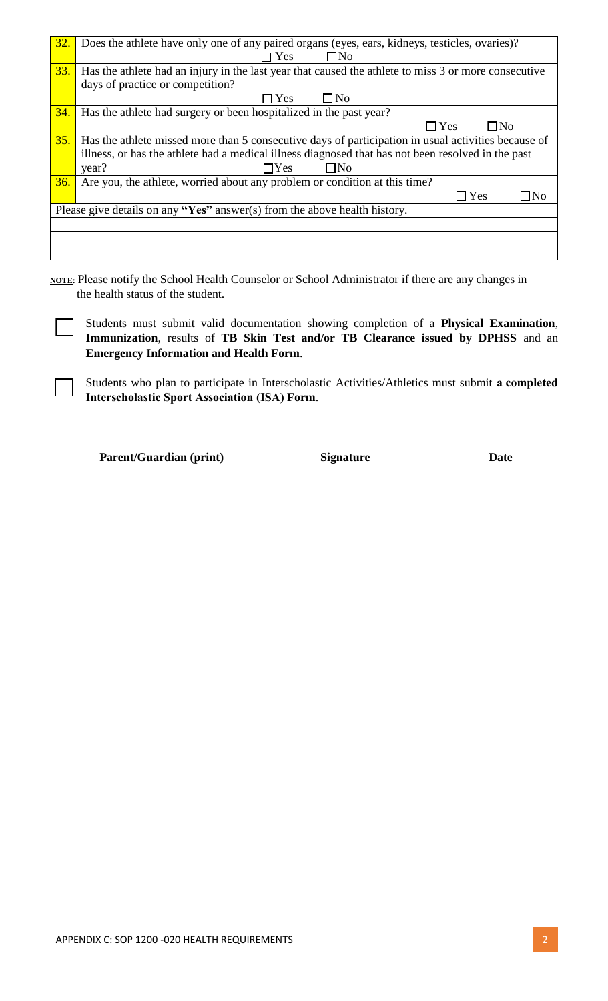| 32. | Does the athlete have only one of any paired organs (eyes, ears, kidneys, testicles, ovaries)?       |
|-----|------------------------------------------------------------------------------------------------------|
|     | $\Box$ No<br><b>Yes</b>                                                                              |
| 33. | Has the athlete had an injury in the last year that caused the athlete to miss 3 or more consecutive |
|     | days of practice or competition?                                                                     |
|     | $\Box$ No<br>$\Box$ Yes                                                                              |
| 34. | Has the athlete had surgery or been hospitalized in the past year?                                   |
|     | $\Box$ Yes<br>$\Box$ No                                                                              |
| 35. | Has the athlete missed more than 5 consecutive days of participation in usual activities because of  |
|     | illness, or has the athlete had a medical illness diagnosed that has not been resolved in the past   |
|     | year?<br>$\Box$ No<br>$\neg$ Yes                                                                     |
| 36. | Are you, the athlete, worried about any problem or condition at this time?                           |
|     | $\Box$ Yes<br>$\Box$ No                                                                              |
|     | Please give details on any "Yes" answer(s) from the above health history.                            |
|     |                                                                                                      |
|     |                                                                                                      |
|     |                                                                                                      |

**NOTE:** Please notify the School Health Counselor or School Administrator if there are any changes in the health status of the student.

Students must submit valid documentation showing completion of a **Physical Examination**, **Immunization**, results of **TB Skin Test and/or TB Clearance issued by DPHSS** and an **Emergency Information and Health Form**.

Students who plan to participate in Interscholastic Activities/Athletics must submit **a completed Interscholastic Sport Association (ISA) Form**.

**Parent/Guardian (print) Signature Date**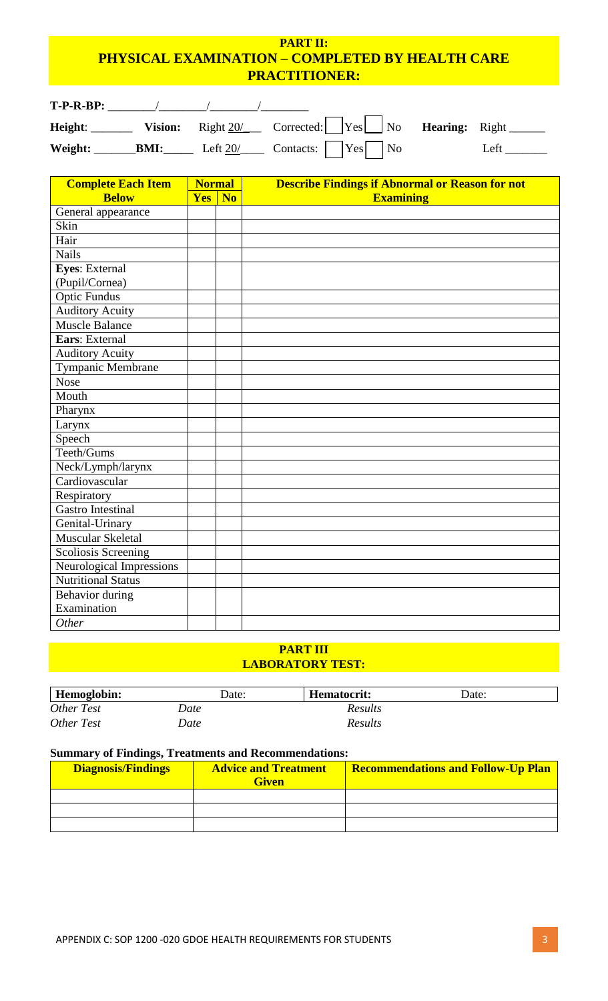# **PART II: PHYSICAL EXAMINATION – COMPLETED BY HEALTH CARE PRACTITIONER:**

| $T-P-R-BP:$ |             |            |                                                                      |      |
|-------------|-------------|------------|----------------------------------------------------------------------|------|
| Height:     |             |            | Vision: Right $20/$ Corrected: $Yes$ No <b>Hearing:</b> Right ______ |      |
| Weight:     | <b>BMI:</b> | Left $20/$ | $\Box$ Contacts:       Yes   No                                      | Left |

| <b>Complete Each Item</b> | <b>Normal</b> |           | <b>Describe Findings if Abnormal or Reason for not</b> |
|---------------------------|---------------|-----------|--------------------------------------------------------|
| <b>Below</b>              | <b>Yes</b>    | <b>No</b> | <b>Examining</b>                                       |
| General appearance        |               |           |                                                        |
| Skin                      |               |           |                                                        |
| Hair                      |               |           |                                                        |
| <b>Nails</b>              |               |           |                                                        |
| <b>Eyes:</b> External     |               |           |                                                        |
| (Pupil/Cornea)            |               |           |                                                        |
| <b>Optic Fundus</b>       |               |           |                                                        |
| <b>Auditory Acuity</b>    |               |           |                                                        |
| <b>Muscle Balance</b>     |               |           |                                                        |
| Ears: External            |               |           |                                                        |
| <b>Auditory Acuity</b>    |               |           |                                                        |
| Tympanic Membrane         |               |           |                                                        |
| <b>Nose</b>               |               |           |                                                        |
| Mouth                     |               |           |                                                        |
| Pharynx                   |               |           |                                                        |
| Larynx                    |               |           |                                                        |
| Speech                    |               |           |                                                        |
| Teeth/Gums                |               |           |                                                        |
| Neck/Lymph/larynx         |               |           |                                                        |
| Cardiovascular            |               |           |                                                        |
| Respiratory               |               |           |                                                        |
| Gastro Intestinal         |               |           |                                                        |
| Genital-Urinary           |               |           |                                                        |
| Muscular Skeletal         |               |           |                                                        |
| Scoliosis Screening       |               |           |                                                        |
| Neurological Impressions  |               |           |                                                        |
| <b>Nutritional Status</b> |               |           |                                                        |
| <b>Behavior</b> during    |               |           |                                                        |
| Examination               |               |           |                                                        |
| Other                     |               |           |                                                        |

### **PART III LABORATORY TEST:**

| <b>Hemoglobin:</b> | Date: | Hematocrit: | Date: |
|--------------------|-------|-------------|-------|
| Other Test         | Date  | Results     |       |
| Other Test         | Date  | Results     |       |

### **Summary of Findings, Treatments and Recommendations:**

| <b>Diagnosis/Findings</b> | <b>Advice and Treatment</b><br><b>Given</b> | <b>Recommendations and Follow-Up Plan</b> |
|---------------------------|---------------------------------------------|-------------------------------------------|
|                           |                                             |                                           |
|                           |                                             |                                           |
|                           |                                             |                                           |